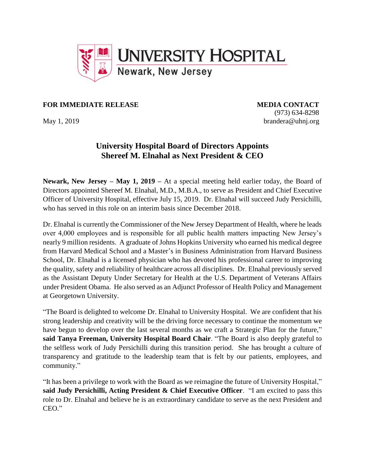

## **FOR IMMEDIATE RELEASE MEDIA CONTACT**

(973) 634-8298 May 1, 2019 brandera@uhnj.org

## **University Hospital Board of Directors Appoints Shereef M. Elnahal as Next President & CEO**

**Newark, New Jersey – May 1, 2019 –** At a special meeting held earlier today, the Board of Directors appointed Shereef M. Elnahal, M.D., M.B.A., to serve as President and Chief Executive Officer of University Hospital, effective July 15, 2019. Dr. Elnahal will succeed Judy Persichilli, who has served in this role on an interim basis since December 2018.

Dr. Elnahal is currently the Commissioner of the New Jersey Department of Health, where he leads over 4,000 employees and is responsible for all public health matters impacting New Jersey's nearly 9 million residents. A graduate of Johns Hopkins University who earned his medical degree from Harvard Medical School and a Master's in Business Administration from Harvard Business School, Dr. Elnahal is a licensed physician who has devoted his professional career to improving the quality, safety and reliability of healthcare across all disciplines. Dr. Elnahal previously served as the Assistant Deputy Under Secretary for Health at the U.S. Department of Veterans Affairs under President Obama. He also served as an Adjunct Professor of Health Policy and Management at Georgetown University.

"The Board is delighted to welcome Dr. Elnahal to University Hospital. We are confident that his strong leadership and creativity will be the driving force necessary to continue the momentum we have begun to develop over the last several months as we craft a Strategic Plan for the future," **said Tanya Freeman, University Hospital Board Chair**. "The Board is also deeply grateful to the selfless work of Judy Persichilli during this transition period. She has brought a culture of transparency and gratitude to the leadership team that is felt by our patients, employees, and community."

"It has been a privilege to work with the Board as we reimagine the future of University Hospital," **said Judy Persichilli, Acting President & Chief Executive Officer**. "I am excited to pass this role to Dr. Elnahal and believe he is an extraordinary candidate to serve as the next President and CEO."